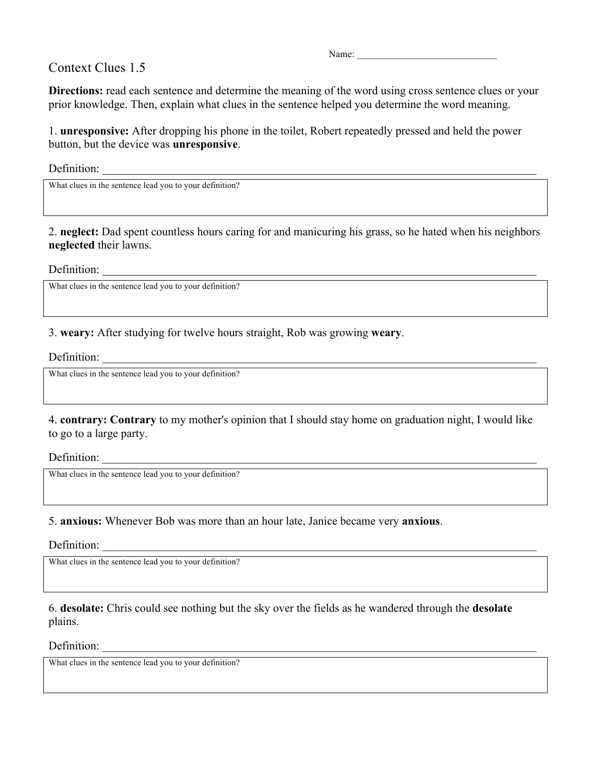## Context Clues 1.5

Name:

**Directions:** read each sentence and determine the meaning of the word using cross sentence clues or your prior knowledge. Then, explain what clues in the sentence helped you determine the word meaning.

1. **unresponsive:** After dropping his phone in the toilet, Robert repeatedly pressed and held the power button, but the device was **unresponsive**.

Definition:

What clues in the sentence lead you to your definition?

2. **neglect:** Dad spent countless hours caring for and manicuring his grass, so he hated when his neighbors **neglected** their lawns.

Definition:  $\frac{1}{\sqrt{1-\frac{1}{2}}\cdot\frac{1}{\sqrt{1-\frac{1}{2}}\cdot\frac{1}{\sqrt{1-\frac{1}{2}}\cdot\frac{1}{\sqrt{1-\frac{1}{2}}\cdot\frac{1}{\sqrt{1-\frac{1}{2}}\cdot\frac{1}{\sqrt{1-\frac{1}{2}}\cdot\frac{1}{\sqrt{1-\frac{1}{2}}\cdot\frac{1}{\sqrt{1-\frac{1}{2}}\cdot\frac{1}{\sqrt{1-\frac{1}{2}}\cdot\frac{1}{\sqrt{1-\frac{1}{2}}\cdot\frac{1}{\sqrt{1-\frac{1}{2}}\cdot\frac{1}{\sqrt{1-\$ 

What clues in the sentence lead you to your definition?

3. **weary:** After studying for twelve hours straight, Rob was growing **weary**.

Definition:

What clues in the sentence lead you to your definition?

4. **contrary: Contrary** to my mother's opinion that I should stay home on graduation night, I would like to go to a large party.

Definition:

What clues in the sentence lead you to your definition?

5. **anxious:** Whenever Bob was more than an hour late, Janice became very **anxious**.

Definition:

What clues in the sentence lead you to your definition?

6. **desolate:** Chris could see nothing but the sky over the fields as he wandered through the **desolate**  plains.

Definition:

What clues in the sentence lead you to your definition?